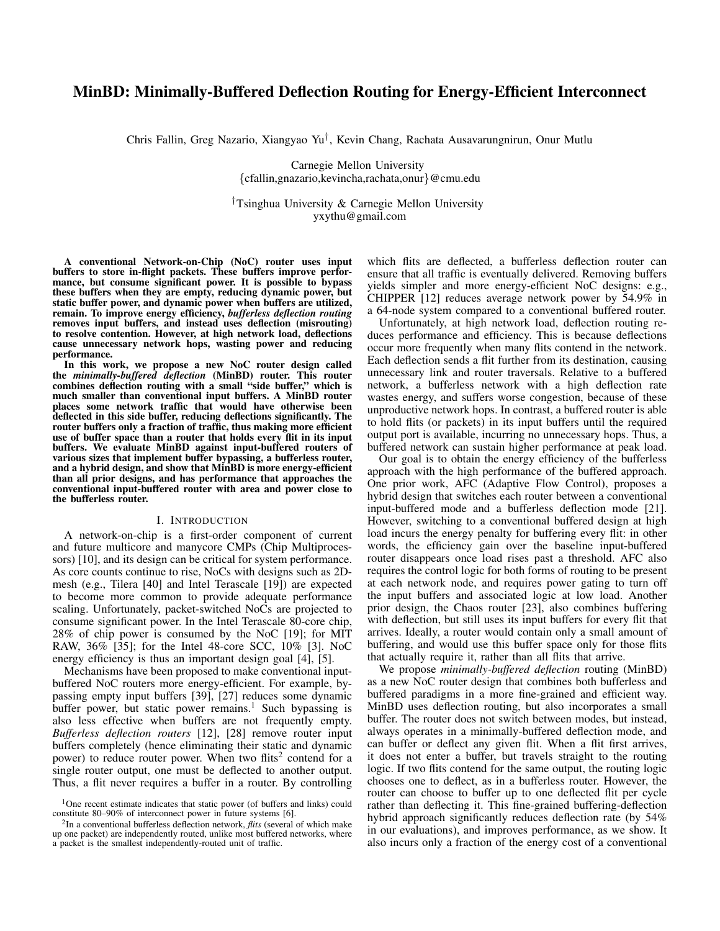# MinBD: Minimally-Buffered Deflection Routing for Energy-Efficient Interconnect

Chris Fallin, Greg Nazario, Xiangyao Yu† , Kevin Chang, Rachata Ausavarungnirun, Onur Mutlu

Carnegie Mellon University {cfallin,gnazario,kevincha,rachata,onur}@cmu.edu

†Tsinghua University & Carnegie Mellon University yxythu@gmail.com

A conventional Network-on-Chip (NoC) router uses input buffers to store in-flight packets. These buffers improve performance, but consume significant power. It is possible to bypass these buffers when they are empty, reducing dynamic power, but static buffer power, and dynamic power when buffers are utilized, remain. To improve energy efficiency, *bufferless deflection routing* removes input buffers, and instead uses deflection (misrouting) to resolve contention. However, at high network load, deflections cause unnecessary network hops, wasting power and reducing performance.

In this work, we propose a new NoC router design called the *minimally-buffered deflection* (MinBD) router. This router combines deflection routing with a small "side buffer," which is much smaller than conventional input buffers. A MinBD router places some network traffic that would have otherwise been deflected in this side buffer, reducing deflections significantly. The router buffers only a fraction of traffic, thus making more efficient use of buffer space than a router that holds every flit in its input buffers. We evaluate MinBD against input-buffered routers of various sizes that implement buffer bypassing, a bufferless router, and a hybrid design, and show that MinBD is more energy-efficient than all prior designs, and has performance that approaches the conventional input-buffered router with area and power close to the bufferless router.

#### I. INTRODUCTION

A network-on-chip is a first-order component of current and future multicore and manycore CMPs (Chip Multiprocessors) [10], and its design can be critical for system performance. As core counts continue to rise, NoCs with designs such as 2Dmesh (e.g., Tilera [40] and Intel Terascale [19]) are expected to become more common to provide adequate performance scaling. Unfortunately, packet-switched NoCs are projected to consume significant power. In the Intel Terascale 80-core chip, 28% of chip power is consumed by the NoC [19]; for MIT RAW, 36% [35]; for the Intel 48-core SCC, 10% [3]. NoC energy efficiency is thus an important design goal [4], [5].

Mechanisms have been proposed to make conventional inputbuffered NoC routers more energy-efficient. For example, bypassing empty input buffers [39], [27] reduces some dynamic buffer power, but static power remains.<sup>1</sup> Such bypassing is also less effective when buffers are not frequently empty. *Bufferless deflection routers* [12], [28] remove router input buffers completely (hence eliminating their static and dynamic power) to reduce router power. When two flits<sup>2</sup> contend for a single router output, one must be deflected to another output. Thus, a flit never requires a buffer in a router. By controlling which flits are deflected, a bufferless deflection router can ensure that all traffic is eventually delivered. Removing buffers yields simpler and more energy-efficient NoC designs: e.g., CHIPPER [12] reduces average network power by 54.9% in a 64-node system compared to a conventional buffered router.

Unfortunately, at high network load, deflection routing reduces performance and efficiency. This is because deflections occur more frequently when many flits contend in the network. Each deflection sends a flit further from its destination, causing unnecessary link and router traversals. Relative to a buffered network, a bufferless network with a high deflection rate wastes energy, and suffers worse congestion, because of these unproductive network hops. In contrast, a buffered router is able to hold flits (or packets) in its input buffers until the required output port is available, incurring no unnecessary hops. Thus, a buffered network can sustain higher performance at peak load.

Our goal is to obtain the energy efficiency of the bufferless approach with the high performance of the buffered approach. One prior work, AFC (Adaptive Flow Control), proposes a hybrid design that switches each router between a conventional input-buffered mode and a bufferless deflection mode [21]. However, switching to a conventional buffered design at high load incurs the energy penalty for buffering every flit: in other words, the efficiency gain over the baseline input-buffered router disappears once load rises past a threshold. AFC also requires the control logic for both forms of routing to be present at each network node, and requires power gating to turn off the input buffers and associated logic at low load. Another prior design, the Chaos router [23], also combines buffering with deflection, but still uses its input buffers for every flit that arrives. Ideally, a router would contain only a small amount of buffering, and would use this buffer space only for those flits that actually require it, rather than all flits that arrive.

We propose *minimally-buffered deflection* routing (MinBD) as a new NoC router design that combines both bufferless and buffered paradigms in a more fine-grained and efficient way. MinBD uses deflection routing, but also incorporates a small buffer. The router does not switch between modes, but instead, always operates in a minimally-buffered deflection mode, and can buffer or deflect any given flit. When a flit first arrives, it does not enter a buffer, but travels straight to the routing logic. If two flits contend for the same output, the routing logic chooses one to deflect, as in a bufferless router. However, the router can choose to buffer up to one deflected flit per cycle rather than deflecting it. This fine-grained buffering-deflection hybrid approach significantly reduces deflection rate (by 54% in our evaluations), and improves performance, as we show. It also incurs only a fraction of the energy cost of a conventional

<sup>&</sup>lt;sup>1</sup>One recent estimate indicates that static power (of buffers and links) could constitute 80–90% of interconnect power in future systems [6].

<sup>2</sup> In a conventional bufferless deflection network, *flits* (several of which make up one packet) are independently routed, unlike most buffered networks, where a packet is the smallest independently-routed unit of traffic.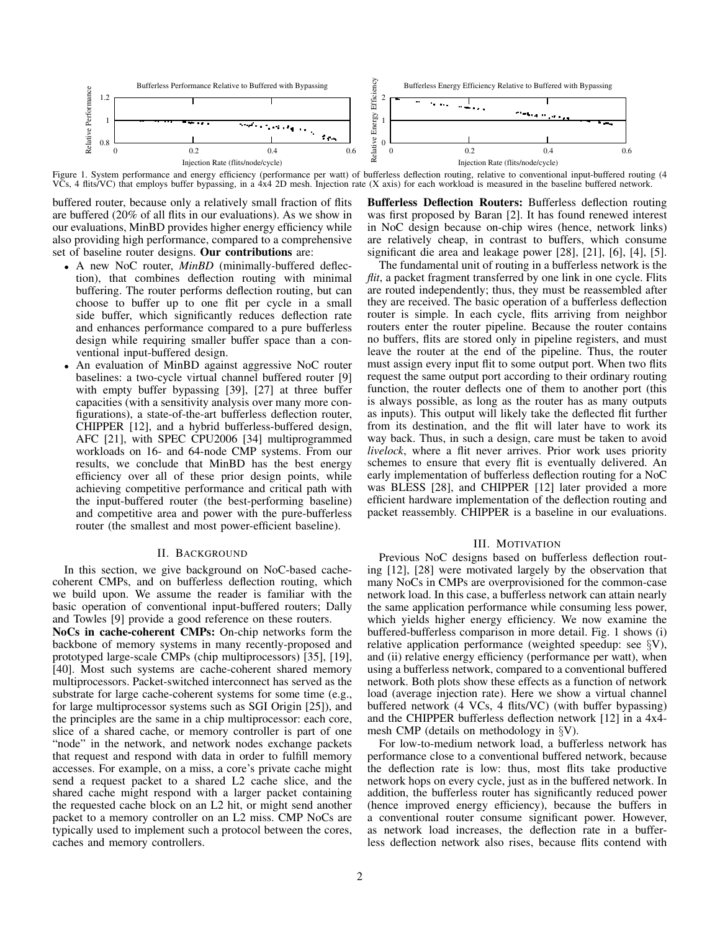

Figure 1. System performance and energy efficiency (performance per watt) of bufferless deflection routing, relative to conventional input-buffered routing (4<br>VCs, 4 flits/VC) that employs buffer bypassing, in a 4x4 2D mes

buffered router, because only a relatively small fraction of flits are buffered (20% of all flits in our evaluations). As we show in our evaluations, MinBD provides higher energy efficiency while also providing high performance, compared to a comprehensive set of baseline router designs. Our contributions are:

- A new NoC router, *MinBD* (minimally-buffered deflection), that combines deflection routing with minimal buffering. The router performs deflection routing, but can choose to buffer up to one flit per cycle in a small side buffer, which significantly reduces deflection rate and enhances performance compared to a pure bufferless design while requiring smaller buffer space than a conventional input-buffered design.
- An evaluation of MinBD against aggressive NoC router baselines: a two-cycle virtual channel buffered router [9] with empty buffer bypassing [39], [27] at three buffer capacities (with a sensitivity analysis over many more configurations), a state-of-the-art bufferless deflection router, CHIPPER [12], and a hybrid bufferless-buffered design, AFC [21], with SPEC CPU2006 [34] multiprogrammed workloads on 16- and 64-node CMP systems. From our results, we conclude that MinBD has the best energy efficiency over all of these prior design points, while achieving competitive performance and critical path with the input-buffered router (the best-performing baseline) and competitive area and power with the pure-bufferless router (the smallest and most power-efficient baseline).

#### II. BACKGROUND

In this section, we give background on NoC-based cachecoherent CMPs, and on bufferless deflection routing, which we build upon. We assume the reader is familiar with the basic operation of conventional input-buffered routers; Dally and Towles [9] provide a good reference on these routers.

NoCs in cache-coherent CMPs: On-chip networks form the backbone of memory systems in many recently-proposed and prototyped large-scale CMPs (chip multiprocessors) [35], [19], [40]. Most such systems are cache-coherent shared memory multiprocessors. Packet-switched interconnect has served as the substrate for large cache-coherent systems for some time (e.g., for large multiprocessor systems such as SGI Origin [25]), and the principles are the same in a chip multiprocessor: each core, slice of a shared cache, or memory controller is part of one "node" in the network, and network nodes exchange packets that request and respond with data in order to fulfill memory accesses. For example, on a miss, a core's private cache might send a request packet to a shared L2 cache slice, and the shared cache might respond with a larger packet containing the requested cache block on an L2 hit, or might send another packet to a memory controller on an L2 miss. CMP NoCs are typically used to implement such a protocol between the cores, caches and memory controllers.

Bufferless Deflection Routers: Bufferless deflection routing was first proposed by Baran [2]. It has found renewed interest in NoC design because on-chip wires (hence, network links) are relatively cheap, in contrast to buffers, which consume significant die area and leakage power [28], [21], [6], [4], [5].

The fundamental unit of routing in a bufferless network is the *flit*, a packet fragment transferred by one link in one cycle. Flits are routed independently; thus, they must be reassembled after they are received. The basic operation of a bufferless deflection router is simple. In each cycle, flits arriving from neighbor routers enter the router pipeline. Because the router contains no buffers, flits are stored only in pipeline registers, and must leave the router at the end of the pipeline. Thus, the router must assign every input flit to some output port. When two flits request the same output port according to their ordinary routing function, the router deflects one of them to another port (this is always possible, as long as the router has as many outputs as inputs). This output will likely take the deflected flit further from its destination, and the flit will later have to work its way back. Thus, in such a design, care must be taken to avoid *livelock*, where a flit never arrives. Prior work uses priority schemes to ensure that every flit is eventually delivered. An early implementation of bufferless deflection routing for a NoC was BLESS [28], and CHIPPER [12] later provided a more efficient hardware implementation of the deflection routing and packet reassembly. CHIPPER is a baseline in our evaluations.

#### III. MOTIVATION

Previous NoC designs based on bufferless deflection routing [12], [28] were motivated largely by the observation that many NoCs in CMPs are overprovisioned for the common-case network load. In this case, a bufferless network can attain nearly the same application performance while consuming less power, which yields higher energy efficiency. We now examine the buffered-bufferless comparison in more detail. Fig. 1 shows (i) relative application performance (weighted speedup: see §V), and (ii) relative energy efficiency (performance per watt), when using a bufferless network, compared to a conventional buffered network. Both plots show these effects as a function of network load (average injection rate). Here we show a virtual channel buffered network (4 VCs, 4 flits/VC) (with buffer bypassing) and the CHIPPER bufferless deflection network [12] in a 4x4 mesh CMP (details on methodology in §V).

For low-to-medium network load, a bufferless network has performance close to a conventional buffered network, because the deflection rate is low: thus, most flits take productive network hops on every cycle, just as in the buffered network. In addition, the bufferless router has significantly reduced power (hence improved energy efficiency), because the buffers in a conventional router consume significant power. However, as network load increases, the deflection rate in a bufferless deflection network also rises, because flits contend with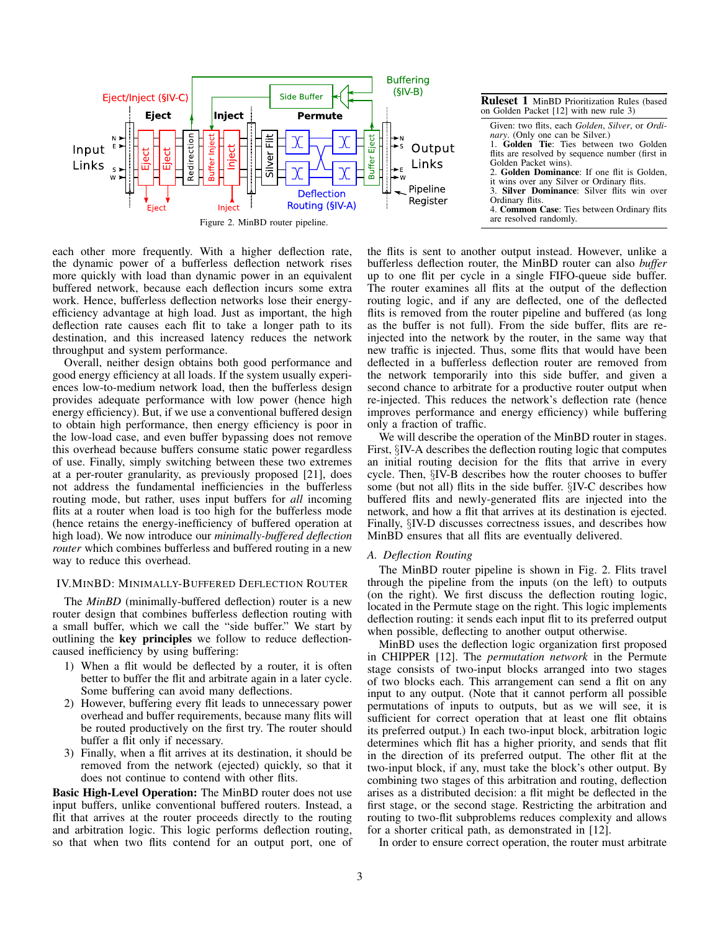

each other more frequently. With a higher deflection rate, the dynamic power of a bufferless deflection network rises more quickly with load than dynamic power in an equivalent buffered network, because each deflection incurs some extra work. Hence, bufferless deflection networks lose their energyefficiency advantage at high load. Just as important, the high deflection rate causes each flit to take a longer path to its destination, and this increased latency reduces the network throughput and system performance.

Overall, neither design obtains both good performance and good energy efficiency at all loads. If the system usually experiences low-to-medium network load, then the bufferless design provides adequate performance with low power (hence high energy efficiency). But, if we use a conventional buffered design to obtain high performance, then energy efficiency is poor in the low-load case, and even buffer bypassing does not remove this overhead because buffers consume static power regardless of use. Finally, simply switching between these two extremes at a per-router granularity, as previously proposed [21], does not address the fundamental inefficiencies in the bufferless routing mode, but rather, uses input buffers for *all* incoming flits at a router when load is too high for the bufferless mode (hence retains the energy-inefficiency of buffered operation at high load). We now introduce our *minimally-buffered deflection router* which combines bufferless and buffered routing in a new way to reduce this overhead.

#### IV.MINBD: MINIMALLY-BUFFERED DEFLECTION ROUTER

The *MinBD* (minimally-buffered deflection) router is a new router design that combines bufferless deflection routing with a small buffer, which we call the "side buffer." We start by outlining the key principles we follow to reduce deflectioncaused inefficiency by using buffering:

- 1) When a flit would be deflected by a router, it is often better to buffer the flit and arbitrate again in a later cycle. Some buffering can avoid many deflections.
- 2) However, buffering every flit leads to unnecessary power overhead and buffer requirements, because many flits will be routed productively on the first try. The router should buffer a flit only if necessary.
- 3) Finally, when a flit arrives at its destination, it should be removed from the network (ejected) quickly, so that it does not continue to contend with other flits.

Basic High-Level Operation: The MinBD router does not use input buffers, unlike conventional buffered routers. Instead, a flit that arrives at the router proceeds directly to the routing and arbitration logic. This logic performs deflection routing, so that when two flits contend for an output port, one of the flits is sent to another output instead. However, unlike a bufferless deflection router, the MinBD router can also *buffer* up to one flit per cycle in a single FIFO-queue side buffer. The router examines all flits at the output of the deflection routing logic, and if any are deflected, one of the deflected flits is removed from the router pipeline and buffered (as long as the buffer is not full). From the side buffer, flits are reinjected into the network by the router, in the same way that new traffic is injected. Thus, some flits that would have been deflected in a bufferless deflection router are removed from the network temporarily into this side buffer, and given a second chance to arbitrate for a productive router output when re-injected. This reduces the network's deflection rate (hence improves performance and energy efficiency) while buffering only a fraction of traffic.

We will describe the operation of the MinBD router in stages. First, §IV-A describes the deflection routing logic that computes an initial routing decision for the flits that arrive in every cycle. Then, §IV-B describes how the router chooses to buffer some (but not all) flits in the side buffer. §IV-C describes how buffered flits and newly-generated flits are injected into the network, and how a flit that arrives at its destination is ejected. Finally, §IV-D discusses correctness issues, and describes how MinBD ensures that all flits are eventually delivered.

## *A. Deflection Routing*

The MinBD router pipeline is shown in Fig. 2. Flits travel through the pipeline from the inputs (on the left) to outputs (on the right). We first discuss the deflection routing logic, located in the Permute stage on the right. This logic implements deflection routing: it sends each input flit to its preferred output when possible, deflecting to another output otherwise.

MinBD uses the deflection logic organization first proposed in CHIPPER [12]. The *permutation network* in the Permute stage consists of two-input blocks arranged into two stages of two blocks each. This arrangement can send a flit on any input to any output. (Note that it cannot perform all possible permutations of inputs to outputs, but as we will see, it is sufficient for correct operation that at least one flit obtains its preferred output.) In each two-input block, arbitration logic determines which flit has a higher priority, and sends that flit in the direction of its preferred output. The other flit at the two-input block, if any, must take the block's other output. By combining two stages of this arbitration and routing, deflection arises as a distributed decision: a flit might be deflected in the first stage, or the second stage. Restricting the arbitration and routing to two-flit subproblems reduces complexity and allows for a shorter critical path, as demonstrated in [12].

In order to ensure correct operation, the router must arbitrate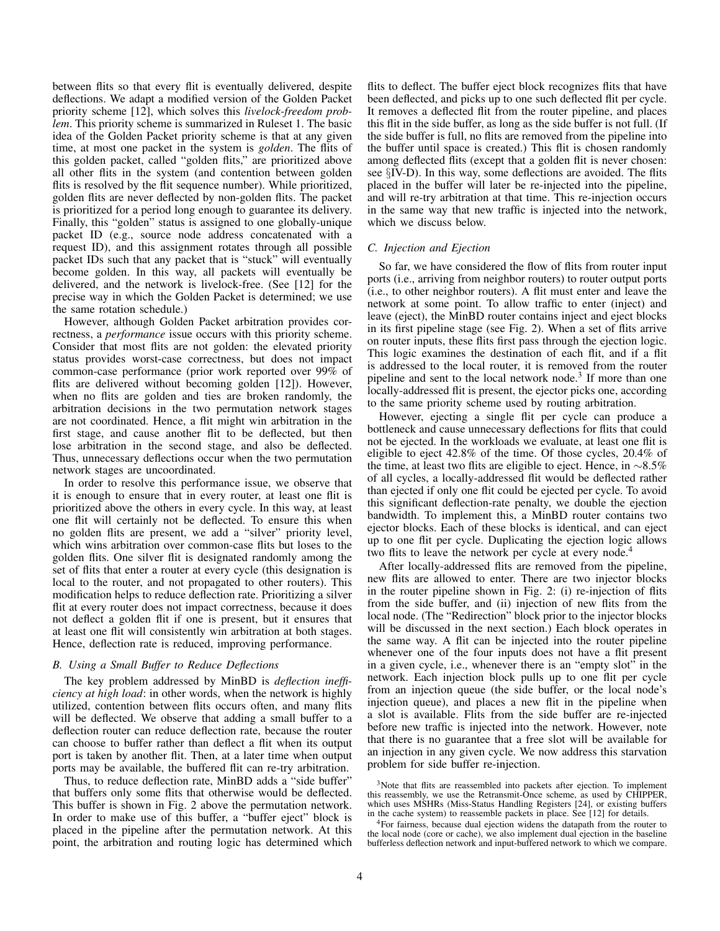between flits so that every flit is eventually delivered, despite deflections. We adapt a modified version of the Golden Packet priority scheme [12], which solves this *livelock-freedom problem*. This priority scheme is summarized in Ruleset 1. The basic idea of the Golden Packet priority scheme is that at any given time, at most one packet in the system is *golden*. The flits of this golden packet, called "golden flits," are prioritized above all other flits in the system (and contention between golden flits is resolved by the flit sequence number). While prioritized, golden flits are never deflected by non-golden flits. The packet is prioritized for a period long enough to guarantee its delivery. Finally, this "golden" status is assigned to one globally-unique packet ID (e.g., source node address concatenated with a request ID), and this assignment rotates through all possible packet IDs such that any packet that is "stuck" will eventually become golden. In this way, all packets will eventually be delivered, and the network is livelock-free. (See [12] for the precise way in which the Golden Packet is determined; we use the same rotation schedule.)

However, although Golden Packet arbitration provides correctness, a *performance* issue occurs with this priority scheme. Consider that most flits are not golden: the elevated priority status provides worst-case correctness, but does not impact common-case performance (prior work reported over 99% of flits are delivered without becoming golden [12]). However, when no flits are golden and ties are broken randomly, the arbitration decisions in the two permutation network stages are not coordinated. Hence, a flit might win arbitration in the first stage, and cause another flit to be deflected, but then lose arbitration in the second stage, and also be deflected. Thus, unnecessary deflections occur when the two permutation network stages are uncoordinated.

In order to resolve this performance issue, we observe that it is enough to ensure that in every router, at least one flit is prioritized above the others in every cycle. In this way, at least one flit will certainly not be deflected. To ensure this when no golden flits are present, we add a "silver" priority level, which wins arbitration over common-case flits but loses to the golden flits. One silver flit is designated randomly among the set of flits that enter a router at every cycle (this designation is local to the router, and not propagated to other routers). This modification helps to reduce deflection rate. Prioritizing a silver flit at every router does not impact correctness, because it does not deflect a golden flit if one is present, but it ensures that at least one flit will consistently win arbitration at both stages. Hence, deflection rate is reduced, improving performance.

### *B. Using a Small Buffer to Reduce Deflections*

The key problem addressed by MinBD is *deflection inefficiency at high load*: in other words, when the network is highly utilized, contention between flits occurs often, and many flits will be deflected. We observe that adding a small buffer to a deflection router can reduce deflection rate, because the router can choose to buffer rather than deflect a flit when its output port is taken by another flit. Then, at a later time when output ports may be available, the buffered flit can re-try arbitration.

Thus, to reduce deflection rate, MinBD adds a "side buffer" that buffers only some flits that otherwise would be deflected. This buffer is shown in Fig. 2 above the permutation network. In order to make use of this buffer, a "buffer eject" block is placed in the pipeline after the permutation network. At this point, the arbitration and routing logic has determined which flits to deflect. The buffer eject block recognizes flits that have been deflected, and picks up to one such deflected flit per cycle. It removes a deflected flit from the router pipeline, and places this flit in the side buffer, as long as the side buffer is not full. (If the side buffer is full, no flits are removed from the pipeline into the buffer until space is created.) This flit is chosen randomly among deflected flits (except that a golden flit is never chosen: see §IV-D). In this way, some deflections are avoided. The flits placed in the buffer will later be re-injected into the pipeline, and will re-try arbitration at that time. This re-injection occurs in the same way that new traffic is injected into the network, which we discuss below.

#### *C. Injection and Ejection*

So far, we have considered the flow of flits from router input ports (i.e., arriving from neighbor routers) to router output ports (i.e., to other neighbor routers). A flit must enter and leave the network at some point. To allow traffic to enter (inject) and leave (eject), the MinBD router contains inject and eject blocks in its first pipeline stage (see Fig. 2). When a set of flits arrive on router inputs, these flits first pass through the ejection logic. This logic examines the destination of each flit, and if a flit is addressed to the local router, it is removed from the router pipeline and sent to the local network node.<sup>3</sup> If more than one locally-addressed flit is present, the ejector picks one, according to the same priority scheme used by routing arbitration.

However, ejecting a single flit per cycle can produce a bottleneck and cause unnecessary deflections for flits that could not be ejected. In the workloads we evaluate, at least one flit is eligible to eject 42.8% of the time. Of those cycles, 20.4% of the time, at least two flits are eligible to eject. Hence, in ∼8.5% of all cycles, a locally-addressed flit would be deflected rather than ejected if only one flit could be ejected per cycle. To avoid this significant deflection-rate penalty, we double the ejection bandwidth. To implement this, a MinBD router contains two ejector blocks. Each of these blocks is identical, and can eject up to one flit per cycle. Duplicating the ejection logic allows two flits to leave the network per cycle at every node.<sup>4</sup>

After locally-addressed flits are removed from the pipeline, new flits are allowed to enter. There are two injector blocks in the router pipeline shown in Fig. 2: (i) re-injection of flits from the side buffer, and (ii) injection of new flits from the local node. (The "Redirection" block prior to the injector blocks will be discussed in the next section.) Each block operates in the same way. A flit can be injected into the router pipeline whenever one of the four inputs does not have a flit present in a given cycle, i.e., whenever there is an "empty slot" in the network. Each injection block pulls up to one flit per cycle from an injection queue (the side buffer, or the local node's injection queue), and places a new flit in the pipeline when a slot is available. Flits from the side buffer are re-injected before new traffic is injected into the network. However, note that there is no guarantee that a free slot will be available for an injection in any given cycle. We now address this starvation problem for side buffer re-injection.

<sup>3</sup>Note that flits are reassembled into packets after ejection. To implement this reassembly, we use the Retransmit-Once scheme, as used by CHIPPER, which uses MSHRs (Miss-Status Handling Registers [24], or existing buffers in the cache system) to reassemble packets in place. See [12] for details.

<sup>&</sup>lt;sup>4</sup>For fairness, because dual ejection widens the datapath from the router to the local node (core or cache), we also implement dual ejection in the baseline bufferless deflection network and input-buffered network to which we compare.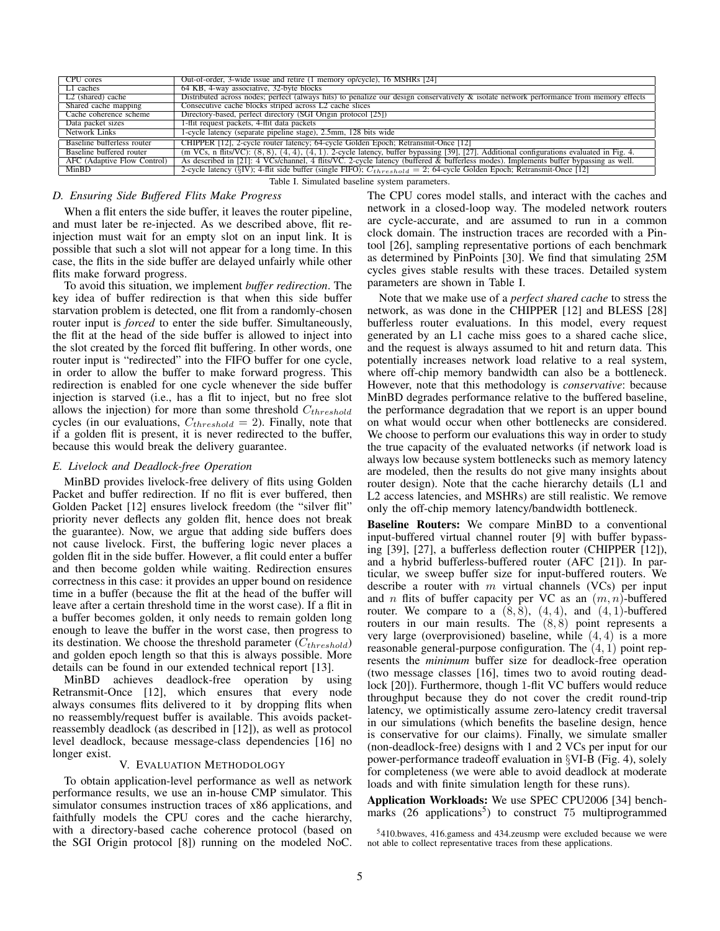| CPU cores                     | Out-of-order, 3-wide issue and retire (1 memory op/cycle), 16 MSHRs [24]                                                                           |
|-------------------------------|----------------------------------------------------------------------------------------------------------------------------------------------------|
| L1 caches                     | 64 KB, 4-way associative, 32-byte blocks                                                                                                           |
| L <sub>2</sub> (shared) cache | Distributed across nodes; perfect (always hits) to penalize our design conservatively & isolate network performance from memory effects            |
| Shared cache mapping          | Consecutive cache blocks striped across L2 cache slices                                                                                            |
| Cache coherence scheme        | Directory-based, perfect directory (SGI Origin protocol [25])                                                                                      |
| Data packet sizes             | 1-flit request packets, 4-flit data packets                                                                                                        |
| Network Links                 | 1-cycle latency (separate pipeline stage), 2.5mm, 128 bits wide                                                                                    |
| Baseline bufferless router    | CHIPPER [12], 2-cycle router latency; 64-cycle Golden Epoch; Retransmit-Once [12]                                                                  |
| Baseline buffered router      | (m VCs, n flits/VC): $(8, 8)$ , $(4, 4)$ , $(4, 1)$ . 2-cycle latency, buffer bypassing [39], [27]. Additional configurations evaluated in Fig. 4. |
| AFC (Adaptive Flow Control)   | As described in [21]: 4 VCs/channel, 4 flits/VC. 2-cycle latency (buffered & bufferless modes). Implements buffer bypassing as well.               |
| MinBD                         | 2-cycle latency (§IV); 4-flit side buffer (single FIFO); $C_{threshold} = 2$ ; 64-cycle Golden Epoch; Retransmit-Once [12]                         |
|                               |                                                                                                                                                    |

Table I. Simulated baseline system parameters.

### *D. Ensuring Side Buffered Flits Make Progress*

When a flit enters the side buffer, it leaves the router pipeline, and must later be re-injected. As we described above, flit reinjection must wait for an empty slot on an input link. It is possible that such a slot will not appear for a long time. In this case, the flits in the side buffer are delayed unfairly while other flits make forward progress.

To avoid this situation, we implement *buffer redirection*. The key idea of buffer redirection is that when this side buffer starvation problem is detected, one flit from a randomly-chosen router input is *forced* to enter the side buffer. Simultaneously, the flit at the head of the side buffer is allowed to inject into the slot created by the forced flit buffering. In other words, one router input is "redirected" into the FIFO buffer for one cycle, in order to allow the buffer to make forward progress. This redirection is enabled for one cycle whenever the side buffer injection is starved (i.e., has a flit to inject, but no free slot allows the injection) for more than some threshold  $C_{threshold}$ cycles (in our evaluations,  $C_{threshold} = 2$ ). Finally, note that if a golden flit is present, it is never redirected to the buffer, because this would break the delivery guarantee.

## *E. Livelock and Deadlock-free Operation*

MinBD provides livelock-free delivery of flits using Golden Packet and buffer redirection. If no flit is ever buffered, then Golden Packet [12] ensures livelock freedom (the "silver flit" priority never deflects any golden flit, hence does not break the guarantee). Now, we argue that adding side buffers does not cause livelock. First, the buffering logic never places a golden flit in the side buffer. However, a flit could enter a buffer and then become golden while waiting. Redirection ensures correctness in this case: it provides an upper bound on residence time in a buffer (because the flit at the head of the buffer will leave after a certain threshold time in the worst case). If a flit in a buffer becomes golden, it only needs to remain golden long enough to leave the buffer in the worst case, then progress to its destination. We choose the threshold parameter  $(C_{threshold})$ and golden epoch length so that this is always possible. More details can be found in our extended technical report [13].

MinBD achieves deadlock-free operation by using Retransmit-Once [12], which ensures that every node always consumes flits delivered to it by dropping flits when no reassembly/request buffer is available. This avoids packetreassembly deadlock (as described in [12]), as well as protocol level deadlock, because message-class dependencies [16] no longer exist.

## V. EVALUATION METHODOLOGY

To obtain application-level performance as well as network performance results, we use an in-house CMP simulator. This simulator consumes instruction traces of x86 applications, and faithfully models the CPU cores and the cache hierarchy, with a directory-based cache coherence protocol (based on the SGI Origin protocol [8]) running on the modeled NoC. The CPU cores model stalls, and interact with the caches and network in a closed-loop way. The modeled network routers are cycle-accurate, and are assumed to run in a common clock domain. The instruction traces are recorded with a Pintool [26], sampling representative portions of each benchmark as determined by PinPoints [30]. We find that simulating 25M cycles gives stable results with these traces. Detailed system parameters are shown in Table I.

Note that we make use of a *perfect shared cache* to stress the network, as was done in the CHIPPER [12] and BLESS [28] bufferless router evaluations. In this model, every request generated by an L1 cache miss goes to a shared cache slice, and the request is always assumed to hit and return data. This potentially increases network load relative to a real system, where off-chip memory bandwidth can also be a bottleneck. However, note that this methodology is *conservative*: because MinBD degrades performance relative to the buffered baseline, the performance degradation that we report is an upper bound on what would occur when other bottlenecks are considered. We choose to perform our evaluations this way in order to study the true capacity of the evaluated networks (if network load is always low because system bottlenecks such as memory latency are modeled, then the results do not give many insights about router design). Note that the cache hierarchy details (L1 and L2 access latencies, and MSHRs) are still realistic. We remove only the off-chip memory latency/bandwidth bottleneck.

Baseline Routers: We compare MinBD to a conventional input-buffered virtual channel router [9] with buffer bypassing [39], [27], a bufferless deflection router (CHIPPER [12]), and a hybrid bufferless-buffered router (AFC [21]). In particular, we sweep buffer size for input-buffered routers. We describe a router with  $m$  virtual channels (VCs) per input and n flits of buffer capacity per VC as an  $(m, n)$ -buffered router. We compare to a  $(8, 8)$ ,  $(4, 4)$ , and  $(4, 1)$ -buffered routers in our main results. The  $(8, 8)$  point represents a very large (overprovisioned) baseline, while (4, 4) is a more reasonable general-purpose configuration. The (4, 1) point represents the *minimum* buffer size for deadlock-free operation (two message classes [16], times two to avoid routing deadlock [20]). Furthermore, though 1-flit VC buffers would reduce throughput because they do not cover the credit round-trip latency, we optimistically assume zero-latency credit traversal in our simulations (which benefits the baseline design, hence is conservative for our claims). Finally, we simulate smaller (non-deadlock-free) designs with 1 and 2 VCs per input for our power-performance tradeoff evaluation in §VI-B (Fig. 4), solely for completeness (we were able to avoid deadlock at moderate loads and with finite simulation length for these runs).

Application Workloads: We use SPEC CPU2006 [34] benchmarks (26 applications<sup>5</sup>) to construct 75 multiprogrammed

<sup>5</sup>410.bwaves, 416.gamess and 434.zeusmp were excluded because we were not able to collect representative traces from these applications.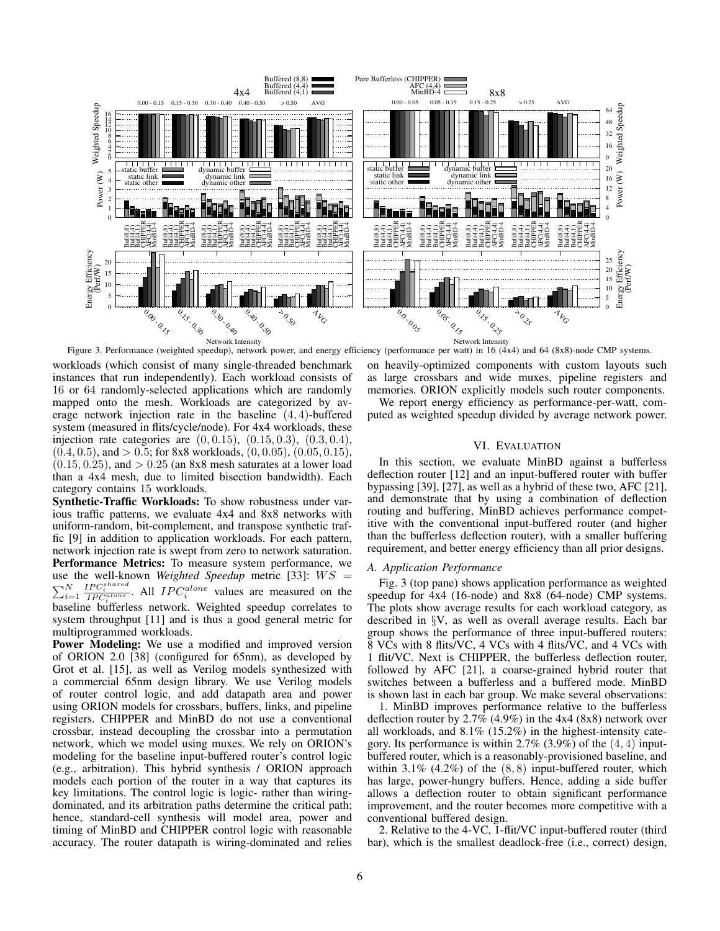

Figure 3. Performance (weighted speedup), network power, and energy efficiency (performance per watt) in 16 (4x4) and 64 (8x8)-node CMP systems.

workloads (which consist of many single-threaded benchmark instances that run independently). Each workload consists of 16 or 64 randomly-selected applications which are randomly mapped onto the mesh. Workloads are categorized by average network injection rate in the baseline (4, 4)-buffered system (measured in flits/cycle/node). For 4x4 workloads, these injection rate categories are  $(0, 0.15)$ ,  $(0.15, 0.3)$ ,  $(0.3, 0.4)$ ,  $(0.4, 0.5)$ , and  $> 0.5$ ; for 8x8 workloads,  $(0, 0.05)$ ,  $(0.05, 0.15)$ ,  $(0.15, 0.25)$ , and  $> 0.25$  (an 8x8 mesh saturates at a lower load than a 4x4 mesh, due to limited bisection bandwidth). Each category contains 15 workloads.

Synthetic-Traffic Workloads: To show robustness under various traffic patterns, we evaluate 4x4 and 8x8 networks with uniform-random, bit-complement, and transpose synthetic traffic [9] in addition to application workloads. For each pattern, network injection rate is swept from zero to network saturation. Performance Metrics: To measure system performance, we use the well-known *Weighted Speedup* metric [33]:  $WS =$  $\sum_{i=1}^{N}$  $\frac{IPC_s^{shared}}{IPC_s^{alone}}$ . All  $IPC_s^{alone}$  values are measured on the baseline bufferless network. Weighted speedup correlates to system throughput [11] and is thus a good general metric for multiprogrammed workloads.

Power Modeling: We use a modified and improved version of ORION 2.0 [38] (configured for 65nm), as developed by Grot et al. [15], as well as Verilog models synthesized with a commercial 65nm design library. We use Verilog models of router control logic, and add datapath area and power using ORION models for crossbars, buffers, links, and pipeline registers. CHIPPER and MinBD do not use a conventional crossbar, instead decoupling the crossbar into a permutation network, which we model using muxes. We rely on ORION's modeling for the baseline input-buffered router's control logic (e.g., arbitration). This hybrid synthesis / ORION approach models each portion of the router in a way that captures its key limitations. The control logic is logic- rather than wiringdominated, and its arbitration paths determine the critical path; hence, standard-cell synthesis will model area, power and timing of MinBD and CHIPPER control logic with reasonable accuracy. The router datapath is wiring-dominated and relies

on heavily-optimized components with custom layouts such as large crossbars and wide muxes, pipeline registers and memories. ORION explicitly models such router components.

We report energy efficiency as performance-per-watt, computed as weighted speedup divided by average network power.

## VI. EVALUATION

In this section, we evaluate MinBD against a bufferless deflection router [12] and an input-buffered router with buffer bypassing [39], [27], as well as a hybrid of these two, AFC [21], and demonstrate that by using a combination of deflection routing and buffering, MinBD achieves performance competitive with the conventional input-buffered router (and higher than the bufferless deflection router), with a smaller buffering requirement, and better energy efficiency than all prior designs.

## *A. Application Performance*

Fig. 3 (top pane) shows application performance as weighted speedup for 4x4 (16-node) and 8x8 (64-node) CMP systems. The plots show average results for each workload category, as described in §V, as well as overall average results. Each bar group shows the performance of three input-buffered routers: 8 VCs with 8 flits/VC, 4 VCs with 4 flits/VC, and 4 VCs with 1 flit/VC. Next is CHIPPER, the bufferless deflection router, followed by AFC [21], a coarse-grained hybrid router that switches between a bufferless and a buffered mode. MinBD is shown last in each bar group. We make several observations:

1. MinBD improves performance relative to the bufferless deflection router by 2.7% (4.9%) in the 4x4 (8x8) network over all workloads, and 8.1% (15.2%) in the highest-intensity category. Its performance is within  $2.7\%$  (3.9%) of the  $(4, 4)$  inputbuffered router, which is a reasonably-provisioned baseline, and within 3.1% (4.2%) of the  $(8, 8)$  input-buffered router, which has large, power-hungry buffers. Hence, adding a side buffer allows a deflection router to obtain significant performance improvement, and the router becomes more competitive with a conventional buffered design.

2. Relative to the 4-VC, 1-flit/VC input-buffered router (third bar), which is the smallest deadlock-free (i.e., correct) design,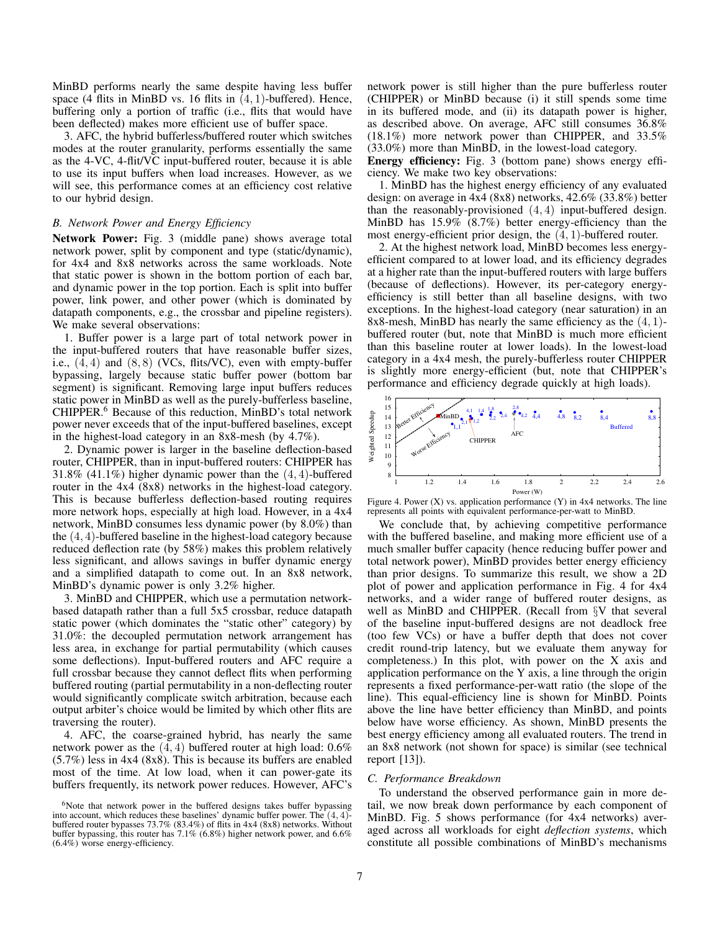MinBD performs nearly the same despite having less buffer space  $(4 \text{ fits in MinBD vs. } 16 \text{ fits in } (4, 1)$ -buffered). Hence, buffering only a portion of traffic (i.e., flits that would have been deflected) makes more efficient use of buffer space.

3. AFC, the hybrid bufferless/buffered router which switches modes at the router granularity, performs essentially the same as the 4-VC, 4-flit/VC input-buffered router, because it is able to use its input buffers when load increases. However, as we will see, this performance comes at an efficiency cost relative to our hybrid design.

#### *B. Network Power and Energy Efficiency*

Network Power: Fig. 3 (middle pane) shows average total network power, split by component and type (static/dynamic), for 4x4 and 8x8 networks across the same workloads. Note that static power is shown in the bottom portion of each bar, and dynamic power in the top portion. Each is split into buffer power, link power, and other power (which is dominated by datapath components, e.g., the crossbar and pipeline registers). We make several observations:

1. Buffer power is a large part of total network power in the input-buffered routers that have reasonable buffer sizes, i.e.,  $(4, 4)$  and  $(8, 8)$  (VCs, flits/VC), even with empty-buffer bypassing, largely because static buffer power (bottom bar segment) is significant. Removing large input buffers reduces static power in MinBD as well as the purely-bufferless baseline, CHIPPER.<sup>6</sup> Because of this reduction, MinBD's total network power never exceeds that of the input-buffered baselines, except in the highest-load category in an 8x8-mesh (by 4.7%).

2. Dynamic power is larger in the baseline deflection-based router, CHIPPER, than in input-buffered routers: CHIPPER has 31.8% (41.1%) higher dynamic power than the (4, 4)-buffered router in the 4x4 (8x8) networks in the highest-load category. This is because bufferless deflection-based routing requires more network hops, especially at high load. However, in a 4x4 network, MinBD consumes less dynamic power (by 8.0%) than the (4, 4)-buffered baseline in the highest-load category because reduced deflection rate (by 58%) makes this problem relatively less significant, and allows savings in buffer dynamic energy and a simplified datapath to come out. In an 8x8 network, MinBD's dynamic power is only 3.2% higher.

3. MinBD and CHIPPER, which use a permutation networkbased datapath rather than a full 5x5 crossbar, reduce datapath static power (which dominates the "static other" category) by 31.0%: the decoupled permutation network arrangement has less area, in exchange for partial permutability (which causes some deflections). Input-buffered routers and AFC require a full crossbar because they cannot deflect flits when performing buffered routing (partial permutability in a non-deflecting router would significantly complicate switch arbitration, because each output arbiter's choice would be limited by which other flits are traversing the router).

4. AFC, the coarse-grained hybrid, has nearly the same network power as the  $(4, 4)$  buffered router at high load:  $0.6\%$ (5.7%) less in 4x4 (8x8). This is because its buffers are enabled most of the time. At low load, when it can power-gate its buffers frequently, its network power reduces. However, AFC's network power is still higher than the pure bufferless router (CHIPPER) or MinBD because (i) it still spends some time in its buffered mode, and (ii) its datapath power is higher, as described above. On average, AFC still consumes 36.8% (18.1%) more network power than CHIPPER, and 33.5% (33.0%) more than MinBD, in the lowest-load category.

Energy efficiency: Fig. 3 (bottom pane) shows energy efficiency. We make two key observations:

1. MinBD has the highest energy efficiency of any evaluated design: on average in 4x4 (8x8) networks, 42.6% (33.8%) better than the reasonably-provisioned  $(4, 4)$  input-buffered design. MinBD has 15.9% (8.7%) better energy-efficiency than the most energy-efficient prior design, the (4, 1)-buffered router.

2. At the highest network load, MinBD becomes less energyefficient compared to at lower load, and its efficiency degrades at a higher rate than the input-buffered routers with large buffers (because of deflections). However, its per-category energyefficiency is still better than all baseline designs, with two exceptions. In the highest-load category (near saturation) in an 8x8-mesh, MinBD has nearly the same efficiency as the  $(4, 1)$ buffered router (but, note that MinBD is much more efficient than this baseline router at lower loads). In the lowest-load category in a 4x4 mesh, the purely-bufferless router CHIPPER is slightly more energy-efficient (but, note that CHIPPER's performance and efficiency degrade quickly at high loads).



Figure 4. Power  $(X)$  vs. application performance  $(Y)$  in 4x4 networks. The line represents all points with equivalent performance-per-watt to MinBD.

We conclude that, by achieving competitive performance with the buffered baseline, and making more efficient use of a much smaller buffer capacity (hence reducing buffer power and total network power), MinBD provides better energy efficiency than prior designs. To summarize this result, we show a 2D plot of power and application performance in Fig. 4 for 4x4 networks, and a wider range of buffered router designs, as well as MinBD and CHIPPER. (Recall from §V that several of the baseline input-buffered designs are not deadlock free (too few VCs) or have a buffer depth that does not cover credit round-trip latency, but we evaluate them anyway for completeness.) In this plot, with power on the X axis and application performance on the Y axis, a line through the origin represents a fixed performance-per-watt ratio (the slope of the line). This equal-efficiency line is shown for MinBD. Points above the line have better efficiency than MinBD, and points below have worse efficiency. As shown, MinBD presents the best energy efficiency among all evaluated routers. The trend in an 8x8 network (not shown for space) is similar (see technical report [13]).

#### *C. Performance Breakdown*

To understand the observed performance gain in more detail, we now break down performance by each component of MinBD. Fig. 5 shows performance (for 4x4 networks) averaged across all workloads for eight *deflection systems*, which constitute all possible combinations of MinBD's mechanisms

 $6$ Note that network power in the buffered designs takes buffer bypassing into account, which reduces these baselines' dynamic buffer power. The  $(4, 4)$ buffered router bypasses 73.7% (83.4%) of flits in 4x4 (8x8) networks. Without buffer bypassing, this router has 7.1% (6.8%) higher network power, and 6.6% (6.4%) worse energy-efficiency.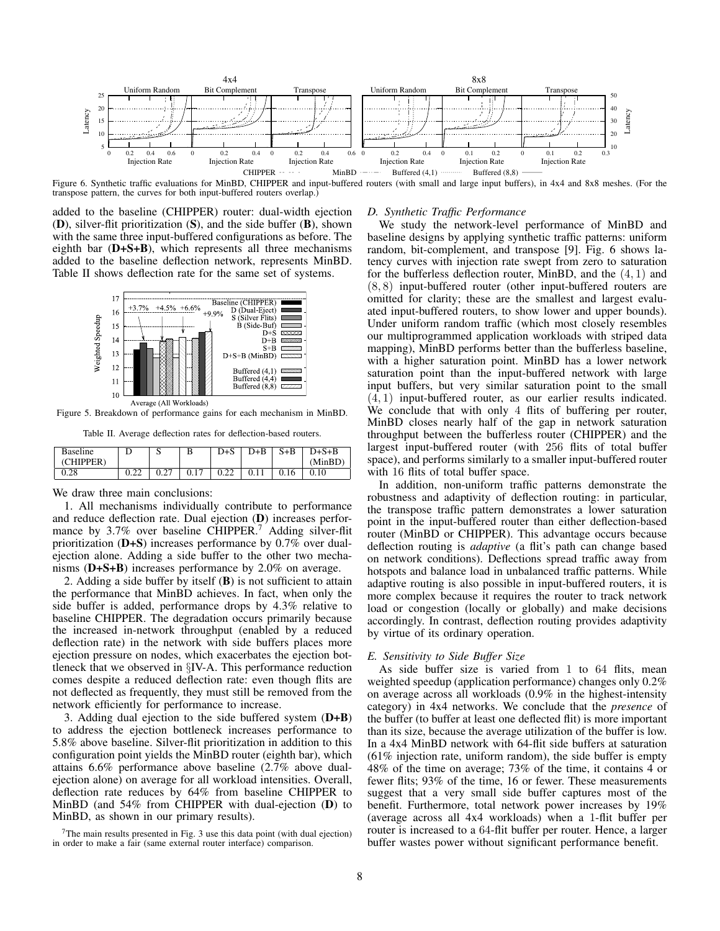

Figure 6. Synthetic traffic evaluations for MinBD, CHIPPER and input-buffered routers (with small and large input buffers), in 4x4 and 8x8 meshes. (For the transpose pattern, the curves for both input-buffered routers overlap.)

added to the baseline (CHIPPER) router: dual-width ejection (D), silver-flit prioritization (S), and the side buffer (B), shown with the same three input-buffered configurations as before. The eighth bar  $(D+S+B)$ , which represents all three mechanisms added to the baseline deflection network, represents MinBD. Table II shows deflection rate for the same set of systems.



Figure 5. Breakdown of performance gains for each mechanism in MinBD.

Table II. Average deflection rates for deflection-based routers.

| <b>Baseline</b> | -    | ى             | B | D+S             | D+B | S+B | $D+S+B$ |
|-----------------|------|---------------|---|-----------------|-----|-----|---------|
| CHIPPER)        |      |               |   |                 |     |     | (MinBD) |
| 0.28            | J.ZZ | $\bm{\omega}$ |   | $\cap$<br>$v -$ |     |     | 0.10    |

We draw three main conclusions:

1. All mechanisms individually contribute to performance and reduce deflection rate. Dual ejection (D) increases performance by 3.7% over baseline CHIPPER.<sup>7</sup> Adding silver-flit prioritization (D+S) increases performance by 0.7% over dualejection alone. Adding a side buffer to the other two mechanisms (D+S+B) increases performance by 2.0% on average.

2. Adding a side buffer by itself  $(B)$  is not sufficient to attain the performance that MinBD achieves. In fact, when only the side buffer is added, performance drops by 4.3% relative to baseline CHIPPER. The degradation occurs primarily because the increased in-network throughput (enabled by a reduced deflection rate) in the network with side buffers places more ejection pressure on nodes, which exacerbates the ejection bottleneck that we observed in §IV-A. This performance reduction comes despite a reduced deflection rate: even though flits are not deflected as frequently, they must still be removed from the network efficiently for performance to increase.

3. Adding dual ejection to the side buffered system  $(D+B)$ to address the ejection bottleneck increases performance to 5.8% above baseline. Silver-flit prioritization in addition to this configuration point yields the MinBD router (eighth bar), which attains 6.6% performance above baseline (2.7% above dualejection alone) on average for all workload intensities. Overall, deflection rate reduces by 64% from baseline CHIPPER to MinBD (and 54% from CHIPPER with dual-ejection (D) to MinBD, as shown in our primary results).

 $7$ The main results presented in Fig. 3 use this data point (with dual ejection) in order to make a fair (same external router interface) comparison.

## *D. Synthetic Traffic Performance*

We study the network-level performance of MinBD and baseline designs by applying synthetic traffic patterns: uniform random, bit-complement, and transpose [9]. Fig. 6 shows latency curves with injection rate swept from zero to saturation for the bufferless deflection router, MinBD, and the (4, 1) and (8, 8) input-buffered router (other input-buffered routers are omitted for clarity; these are the smallest and largest evaluated input-buffered routers, to show lower and upper bounds). Under uniform random traffic (which most closely resembles our multiprogrammed application workloads with striped data mapping), MinBD performs better than the bufferless baseline, with a higher saturation point. MinBD has a lower network saturation point than the input-buffered network with large input buffers, but very similar saturation point to the small  $(4, 1)$  input-buffered router, as our earlier results indicated. We conclude that with only 4 flits of buffering per router, MinBD closes nearly half of the gap in network saturation throughput between the bufferless router (CHIPPER) and the largest input-buffered router (with 256 flits of total buffer space), and performs similarly to a smaller input-buffered router with 16 flits of total buffer space.

In addition, non-uniform traffic patterns demonstrate the robustness and adaptivity of deflection routing: in particular, the transpose traffic pattern demonstrates a lower saturation point in the input-buffered router than either deflection-based router (MinBD or CHIPPER). This advantage occurs because deflection routing is *adaptive* (a flit's path can change based on network conditions). Deflections spread traffic away from hotspots and balance load in unbalanced traffic patterns. While adaptive routing is also possible in input-buffered routers, it is more complex because it requires the router to track network load or congestion (locally or globally) and make decisions accordingly. In contrast, deflection routing provides adaptivity by virtue of its ordinary operation.

#### *E. Sensitivity to Side Buffer Size*

As side buffer size is varied from 1 to 64 flits, mean weighted speedup (application performance) changes only 0.2% on average across all workloads (0.9% in the highest-intensity category) in 4x4 networks. We conclude that the *presence* of the buffer (to buffer at least one deflected flit) is more important than its size, because the average utilization of the buffer is low. In a 4x4 MinBD network with 64-flit side buffers at saturation (61% injection rate, uniform random), the side buffer is empty 48% of the time on average; 73% of the time, it contains 4 or fewer flits; 93% of the time, 16 or fewer. These measurements suggest that a very small side buffer captures most of the benefit. Furthermore, total network power increases by 19% (average across all 4x4 workloads) when a 1-flit buffer per router is increased to a 64-flit buffer per router. Hence, a larger buffer wastes power without significant performance benefit.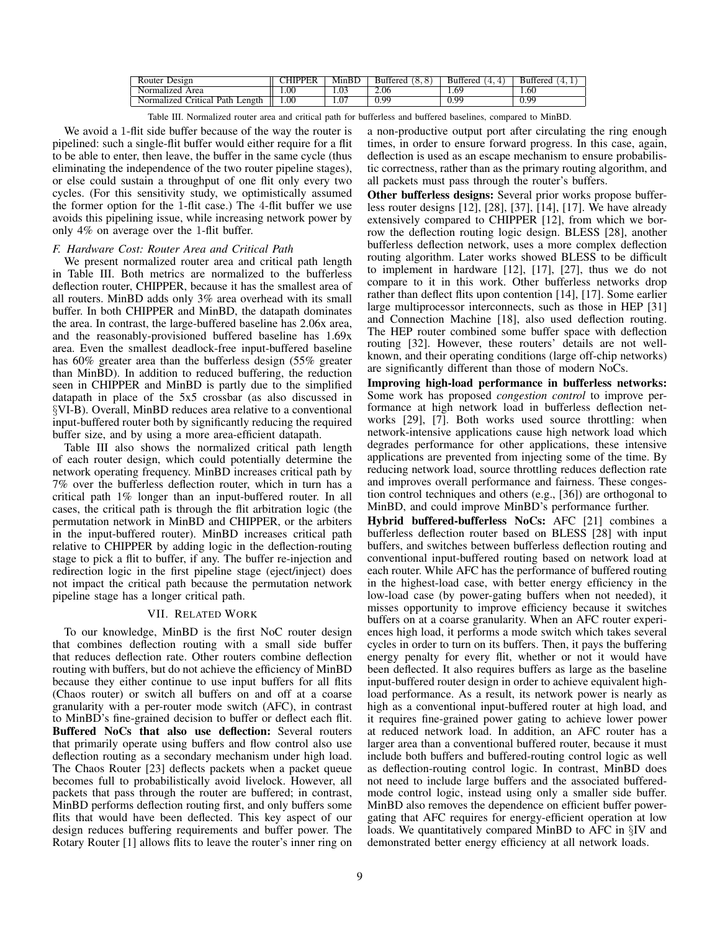| Router Design                           |      | MinBL | <b>Buffered</b><br>Ջ<br>◡. ◡ | Buffered<br>$\Delta$ | <b>Buffered</b><br>т. |
|-----------------------------------------|------|-------|------------------------------|----------------------|-----------------------|
| Area<br>Normalized                      | 1.00 | 1.03  | 2.06                         | 1.69                 | 1.60                  |
| Path<br>ritical<br>Length<br>Normalized | 1.00 | 1.07  | 0.99                         | 0.99                 | 0.99                  |

Table III. Normalized router area and critical path for bufferless and buffered baselines, compared to MinBD.

We avoid a 1-flit side buffer because of the way the router is pipelined: such a single-flit buffer would either require for a flit to be able to enter, then leave, the buffer in the same cycle (thus eliminating the independence of the two router pipeline stages), or else could sustain a throughput of one flit only every two cycles. (For this sensitivity study, we optimistically assumed the former option for the 1-flit case.) The 4-flit buffer we use avoids this pipelining issue, while increasing network power by only 4% on average over the 1-flit buffer.

### *F. Hardware Cost: Router Area and Critical Path*

We present normalized router area and critical path length in Table III. Both metrics are normalized to the bufferless deflection router, CHIPPER, because it has the smallest area of all routers. MinBD adds only 3% area overhead with its small buffer. In both CHIPPER and MinBD, the datapath dominates the area. In contrast, the large-buffered baseline has 2.06x area, and the reasonably-provisioned buffered baseline has 1.69x area. Even the smallest deadlock-free input-buffered baseline has 60% greater area than the bufferless design (55% greater than MinBD). In addition to reduced buffering, the reduction seen in CHIPPER and MinBD is partly due to the simplified datapath in place of the 5x5 crossbar (as also discussed in §VI-B). Overall, MinBD reduces area relative to a conventional input-buffered router both by significantly reducing the required buffer size, and by using a more area-efficient datapath.

Table III also shows the normalized critical path length of each router design, which could potentially determine the network operating frequency. MinBD increases critical path by 7% over the bufferless deflection router, which in turn has a critical path 1% longer than an input-buffered router. In all cases, the critical path is through the flit arbitration logic (the permutation network in MinBD and CHIPPER, or the arbiters in the input-buffered router). MinBD increases critical path relative to CHIPPER by adding logic in the deflection-routing stage to pick a flit to buffer, if any. The buffer re-injection and redirection logic in the first pipeline stage (eject/inject) does not impact the critical path because the permutation network pipeline stage has a longer critical path.

## VII. RELATED WORK

To our knowledge, MinBD is the first NoC router design that combines deflection routing with a small side buffer that reduces deflection rate. Other routers combine deflection routing with buffers, but do not achieve the efficiency of MinBD because they either continue to use input buffers for all flits (Chaos router) or switch all buffers on and off at a coarse granularity with a per-router mode switch (AFC), in contrast to MinBD's fine-grained decision to buffer or deflect each flit. Buffered NoCs that also use deflection: Several routers that primarily operate using buffers and flow control also use deflection routing as a secondary mechanism under high load. The Chaos Router [23] deflects packets when a packet queue becomes full to probabilistically avoid livelock. However, all packets that pass through the router are buffered; in contrast, MinBD performs deflection routing first, and only buffers some flits that would have been deflected. This key aspect of our design reduces buffering requirements and buffer power. The Rotary Router [1] allows flits to leave the router's inner ring on a non-productive output port after circulating the ring enough times, in order to ensure forward progress. In this case, again, deflection is used as an escape mechanism to ensure probabilistic correctness, rather than as the primary routing algorithm, and all packets must pass through the router's buffers.

Other bufferless designs: Several prior works propose bufferless router designs [12], [28], [37], [14], [17]. We have already extensively compared to CHIPPER [12], from which we borrow the deflection routing logic design. BLESS [28], another bufferless deflection network, uses a more complex deflection routing algorithm. Later works showed BLESS to be difficult to implement in hardware [12], [17], [27], thus we do not compare to it in this work. Other bufferless networks drop rather than deflect flits upon contention [14], [17]. Some earlier large multiprocessor interconnects, such as those in HEP [31] and Connection Machine [18], also used deflection routing. The HEP router combined some buffer space with deflection routing [32]. However, these routers' details are not wellknown, and their operating conditions (large off-chip networks) are significantly different than those of modern NoCs.

Improving high-load performance in bufferless networks: Some work has proposed *congestion control* to improve performance at high network load in bufferless deflection networks [29], [7]. Both works used source throttling: when network-intensive applications cause high network load which degrades performance for other applications, these intensive applications are prevented from injecting some of the time. By reducing network load, source throttling reduces deflection rate and improves overall performance and fairness. These congestion control techniques and others (e.g., [36]) are orthogonal to MinBD, and could improve MinBD's performance further.

Hybrid buffered-bufferless NoCs: AFC [21] combines a bufferless deflection router based on BLESS [28] with input buffers, and switches between bufferless deflection routing and conventional input-buffered routing based on network load at each router. While AFC has the performance of buffered routing in the highest-load case, with better energy efficiency in the low-load case (by power-gating buffers when not needed), it misses opportunity to improve efficiency because it switches buffers on at a coarse granularity. When an AFC router experiences high load, it performs a mode switch which takes several cycles in order to turn on its buffers. Then, it pays the buffering energy penalty for every flit, whether or not it would have been deflected. It also requires buffers as large as the baseline input-buffered router design in order to achieve equivalent highload performance. As a result, its network power is nearly as high as a conventional input-buffered router at high load, and it requires fine-grained power gating to achieve lower power at reduced network load. In addition, an AFC router has a larger area than a conventional buffered router, because it must include both buffers and buffered-routing control logic as well as deflection-routing control logic. In contrast, MinBD does not need to include large buffers and the associated bufferedmode control logic, instead using only a smaller side buffer. MinBD also removes the dependence on efficient buffer powergating that AFC requires for energy-efficient operation at low loads. We quantitatively compared MinBD to AFC in §IV and demonstrated better energy efficiency at all network loads.